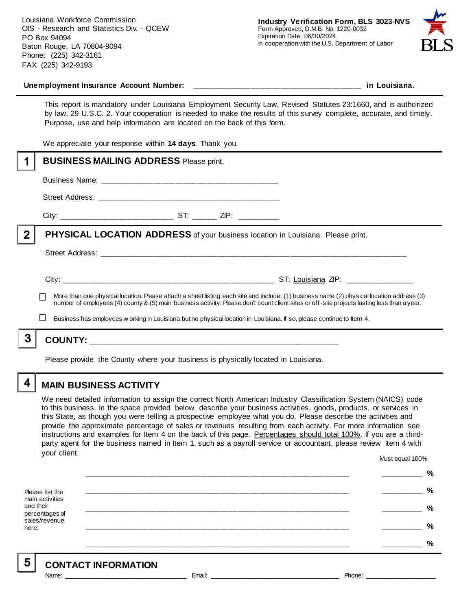Louisiana Workforce Commission OIS - Research and Statistics Div. - QCEW PO Box 94094 Baton Rouge, LA 70804-9094 Phone: (225) 342-3161 FAX: (225) 342-9193



#### **Unemployment Insurance Account Number: \_\_\_\_\_\_\_\_\_\_\_\_\_\_\_\_\_\_\_\_\_\_\_\_\_\_\_\_\_\_\_\_\_\_\_\_\_\_\_\_ in Louisiana.**

This report is mandatory under Louisiana Employment Security Law, Revised Statutes 23:1660, and is authorized by law, 29 U.S.C. 2. Your cooperation is needed to make the results of this survey complete, accurate, and timely. Purpose, use and help information are located on the back of this form.

We appreciate your response within **14 days**. Thank you.

|   | <b>BUSINESS MAILING ADDRESS Please print.</b>                                                                                                                                                                                                                                                                                                                                                                     |  |  |  |  |
|---|-------------------------------------------------------------------------------------------------------------------------------------------------------------------------------------------------------------------------------------------------------------------------------------------------------------------------------------------------------------------------------------------------------------------|--|--|--|--|
|   |                                                                                                                                                                                                                                                                                                                                                                                                                   |  |  |  |  |
|   |                                                                                                                                                                                                                                                                                                                                                                                                                   |  |  |  |  |
|   |                                                                                                                                                                                                                                                                                                                                                                                                                   |  |  |  |  |
| 2 | <b>PHYSICAL LOCATION ADDRESS</b> of your business location in Louisiana. Please print.                                                                                                                                                                                                                                                                                                                            |  |  |  |  |
|   |                                                                                                                                                                                                                                                                                                                                                                                                                   |  |  |  |  |
|   | More than one physical location. Please attach a sheet listing each site and include: (1) business name (2) physical location address (3)<br>number of employees (4) county & (5) main business activity. Please don't count client sites or off-site projects lasting less than a year.<br>Business has employees w orking in Louisiana but no physical location in Louisiana. If so, please continue to Item 4. |  |  |  |  |
| 3 |                                                                                                                                                                                                                                                                                                                                                                                                                   |  |  |  |  |
|   | Please provide the County where your business is physically located in Louisiana.                                                                                                                                                                                                                                                                                                                                 |  |  |  |  |

4

5

### **MAIN BUSINESS ACTIVITY**

We need detailed information to assign the correct North American Industry Classification System (NAICS) code to this business. In the space provided below, describe your business activities, goods, products, or services in this State, as though you were telling a prospective employee what you do. Please describe the activities and provide the approximate percentage of sales or revenues resulting from each activity. For more information see instructions and examples for Item 4 on the back of this page. Percentages should total 100%. If you are a thirdparty agent for the business named in Item 1, such as a payroll service or accountant, please review Item 4 with your client. Must equal 100%

Please list the main activities and their percentages of sales/revenue here: **\_\_\_\_\_\_\_\_\_\_\_\_\_\_\_\_\_\_\_\_\_\_\_\_\_\_\_\_\_\_\_\_\_\_\_\_\_\_\_\_\_\_\_\_\_\_\_\_\_\_\_\_\_\_\_\_\_\_\_\_\_\_ \_\_\_\_\_\_\_\_\_\_ % \_\_\_\_\_\_\_\_\_\_\_\_\_\_\_\_\_\_\_\_\_\_\_\_\_\_\_\_\_\_\_\_\_\_\_\_\_\_\_\_\_\_\_\_\_\_\_\_\_\_\_\_\_\_\_\_\_\_\_\_\_\_ \_\_\_\_\_\_\_\_\_\_ % \_\_\_\_\_\_\_\_\_\_\_\_\_\_\_\_\_\_\_\_\_\_\_\_\_\_\_\_\_\_\_\_\_\_\_\_\_\_\_\_\_\_\_\_\_\_\_\_\_\_\_\_\_\_\_\_\_\_\_\_\_\_ \_\_\_\_\_\_\_\_\_\_ % \_\_\_\_\_\_\_\_\_\_\_\_\_\_\_\_\_\_\_\_\_\_\_\_\_\_\_\_\_\_\_\_\_\_\_\_\_\_\_\_\_\_\_\_\_\_\_\_\_\_\_\_\_\_\_\_\_\_\_\_\_\_ \_\_\_\_\_\_\_\_\_\_ % \_\_\_\_\_\_\_\_\_\_\_\_\_\_\_\_\_\_\_\_\_\_\_\_\_\_\_\_\_\_\_\_\_\_\_\_\_\_\_\_\_\_\_\_\_\_\_\_\_\_\_\_\_\_\_\_\_\_\_\_\_\_ \_\_\_\_\_\_\_\_\_\_ %**